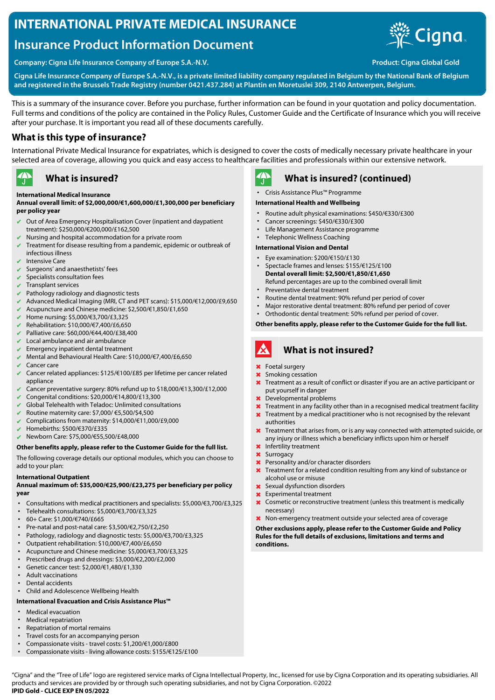# **INTERNATIONAL PRIVATE MEDICAL INSURANCE**

# **Insurance Product Information Document**



**Company: Cigna Life Insurance Company of Europe S.A.-N.V. Product: Cigna Global Gold**

**Cigna Life Insurance Company of Europe S.A.-N.V., is a private limited liability company regulated in Belgium by the National Bank of Belgium and registered in the Brussels Trade Registry (number 0421.437.284) at Plantin en Moretuslei 309, 2140 Antwerpen, Belgium.**

This is a summary of the insurance cover. Before you purchase, further information can be found in your quotation and policy documentation. Full terms and conditions of the policy are contained in the Policy Rules, Customer Guide and the Certificate of Insurance which you will receive after your purchase. It is important you read all of these documents carefully.

## **What is this type of insurance?**

International Private Medical Insurance for expatriates, which is designed to cover the costs of medically necessary private healthcare in your selected area of coverage, allowing you quick and easy access to healthcare facilities and professionals within our extensive network.

#### $\rightarrow$ **What is insured?**

### **International Medical Insurance**

#### **Annual overall limit: of \$2,000,000/€1,600,000/£1,300,000 per beneficiary per policy year**

- Out of Area Emergency Hospitalisation Cover (inpatient and daypatient treatment): \$250,000/€200,000/£162,500
- $\blacktriangleright$  Nursing and hospital accommodation for a private room
- ✔ Treatment for disease resulting from a pandemic, epidemic or outbreak of infectious illness
- Intensive Care
- Surgeons' and anaesthetists' fees
- Specialists consultation fees
- Transplant services
- Pathology radiology and diagnostic tests
- ✔ Advanced Medical Imaging (MRI, CT and PET scans): \$15,000/€12,000/£9,650
- ✔ Acupuncture and Chinese medicine: \$2,500/€1,850/£1,650
- ✔ Home nursing: \$5,000/€3,700/£3,325
- ✔ Rehabilitation: \$10,000/€7,400/£6,650
- ✔ Palliative care: \$60,000/€44,400/£38,400
- Local ambulance and air ambulance
- Emergency inpatient dental treatment
- ✔ Mental and Behavioural Health Care: \$10,000/€7,400/£6,650
- $\vee$  Cancer care
- ✔ Cancer related appliances: \$125/€100/£85 per lifetime per cancer related appliance
- ✔ Cancer preventative surgery: 80% refund up to \$18,000/€13,300/£12,000
- ✔ Congenital conditions: \$20,000/€14,800/£13,300
- Global Telehealth with Teladoc: Unlimited consultations
- ✔ Routine maternity care: \$7,000/ €5,500/\$4,500
- ✔ Complications from maternity: \$14,000/€11,000/£9,000
- ✔ Homebirths: \$500/€370/£335
- ✔ Newborn Care: \$75,000/€55,500/£48,000

#### **Other benefits apply, please refer to the Customer Guide for the full list.**

The following coverage details our optional modules, which you can choose to add to your plan:

#### **International Outpatient**

### **Annual maximum of: \$35,000/€25,900/£23,275 per beneficiary per policy year**

- Consultations with medical practitioners and specialists: \$5,000/€3,700/£3,325
- Telehealth consultations: \$5,000/€3,700/£3,325
- 60+ Care: \$1,000/€740/£665
- Pre-natal and post-natal care: \$3,500/€2,750/£2,250
- Pathology, radiology and diagnostic tests: \$5,000/€3,700/£3,325
- Outpatient rehabilitation: \$10,000/€7,400/£6,650
- Acupuncture and Chinese medicine: \$5,000/€3,700/£3,325
- Prescribed drugs and dressings: \$3,000/€2,200/£2,000
- Genetic cancer test: \$2,000/€1,480/£1,330
- Adult vaccinations
- Dental accidents
- Child and Adolescence Wellbeing Health

## **International Evacuation and Crisis Assistance Plus™**

- Medical evacuation
- Medical repatriation
- Repatriation of mortal remains
- Travel costs for an accompanying person
- Compassionate visits travel costs: \$1,200/€1,000/£800 • Compassionate visits - living allowance costs: \$155/€125/£100

 $\mathbf{A}$ 

## **What is insured? (continued)**

• Crisis Assistance Plus™ Programme

## **International Health and Wellbeing**

- Routine adult physical examinations: \$450/€330/£300
- Cancer screenings: \$450/€330/£300
- Life Management Assistance programme
- Telephonic Wellness Coaching

## **International Vision and Dental**

- Eye examination: \$200/€150/£130
- Spectacle frames and lenses: \$155/€125/£100 **Dental overall limit: \$2,500/€1,850/£1,650** Refund percentages are up to the combined overall limit
- Preventative dental treatment
- Routine dental treatment: 90% refund per period of cover
- Major restorative dental treatment: 80% refund per period of cover
- Orthodontic dental treatment: 50% refund per period of cover.

**Other benefits apply, please refer to the Customer Guide for the full list.**

#### A **What is not insured?**

- ✖ Foetal surgery
- ✖ Smoking cessation
- **X** Treatment as a result of conflict or disaster if you are an active participant or put yourself in danger
- ✖ Developmental problems
- **X** Treatment in any facility other than in a recognised medical treatment facility
- **X** Treatment by a medical practitioner who is not recognised by the relevant authorities
- **X** Treatment that arises from, or is any way connected with attempted suicide, or any injury or illness which a beneficiary inflicts upon him or herself
- ✖ Infertility treatment
- Surrogacy
- ✖ Personality and/or character disorders
- Treatment for a related condition resulting from any kind of substance or alcohol use or misuse
- ✖ Sexual dysfunction disorders
- Experimental treatment
- ✖ Cosmetic or reconstructive treatment (unless this treatment is medically necessary)
- ✖ Non-emergency treatment outside your selected area of coverage

**Other exclusions apply, please refer to the Customer Guide and Policy Rules for the full details of exclusions, limitations and terms and conditions.**

"Cigna" and the "Tree of Life" logo are registered service marks of Cigna Intellectual Property, Inc., licensed for use by Cigna Corporation and its operating subsidiaries. All products and services are provided by or through such operating subsidiaries, and not by Cigna Corporation. ©2022 **IPID Gold - CLICE EXP EN 05/2022**